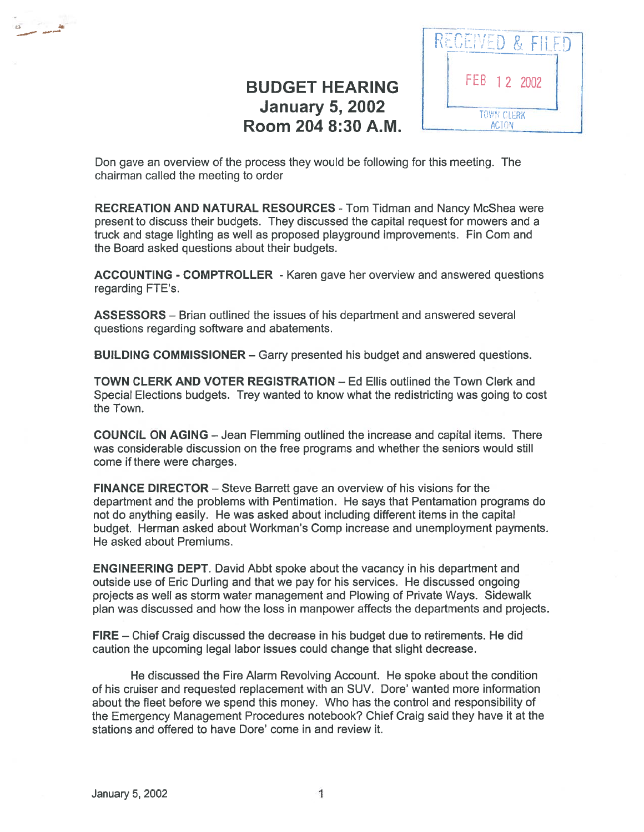## BUDGET HEARING  $\left| \begin{array}{c} \parallel \end{array} \right|$  FEB 12 2002 January 5, 2002 **Room 204 8:30 A.M.** LETTER ACTON



Don gave an overview of the process they would be following for this meeting. The chairman called the meeting to order

RECREATION AND NATURAL RESOURCES - Tom Tidman and Nancy McShea were presen<sup>t</sup> to discuss their budgets. They discussed the capital reques<sup>t</sup> for mowers and <sup>a</sup> truck and stage lighting as well as proposed playground improvements. Fin Com and the Board asked questions about their budgets.

ACCOUNTING - COMPTROLLER - Karen gave her overview and answered questions regarding FTE's.

ASSESSORS — Brian outlined the issues of his departrnent and answered several questions regarding software and abatements.

BUILDING COMMISSIONER — Garry presented his budget and answered questions.

TOWN CLERK AND VOTER REGISTRATION — Ed Ellis outlined the Town Clerk and Special Elections budgets. Trey wanted to know what the redistricting was going to cost the Town.

COUNCIL ON AGING — Jean Flemming outlined the increase and capital items. There was considerable discussion on the free programs and whether the seniors would still come if there were charges.

FINANCE DIRECTOR — Steve Barrett gave an overview of his visions for the department and the problems with Pentimation. He says that Pentamation programs do not do anything easily. He was asked about including different items in the capital budget. Herman asked about Workman's Comp increase and unemployment payments. He asked about Premiums.

ENGINEERING DEPT. David Abbt spoke about the vacancy in his department and outside use of Eric Durling and that we pay for his services. He discussed ongoing projects as well as storm water managemen<sup>t</sup> and Plowing of Private Ways. Sidewalk plan was discussed and how the loss in manpower affects the departments and projects.

FIRE - Chief Craig discussed the decrease in his budget due to retirements. He did caution the upcoming legal labor issues could change that slight decrease.

He discussed the Fire Alarm Revolving Account. He spoke about the condition of his cruiser and requested replacement with an SUV. Dore' wanted more information about the fleet before we spend this money. Who has the control and responsibility of the Emergency Management Procedures notebook? Chief Craig said they have it at the stations and offered to have Dore' come in and review it.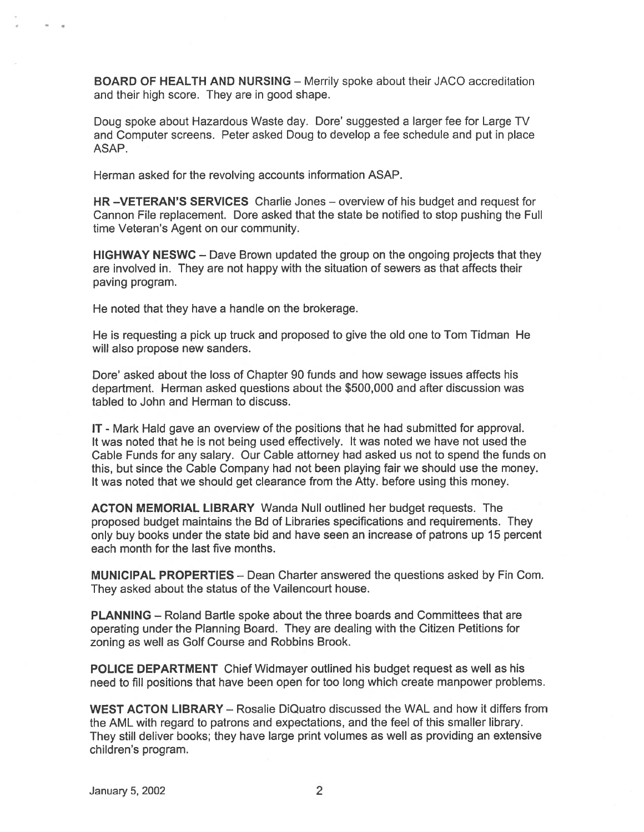BOARD OF HEALTH AND NURSING — Merrily spoke about their JACO accreditation and their high score. They are in good shape.

Doug spoke about Hazardous Waste day. Dore' suggested <sup>a</sup> larger fee for Large TV and Computer screens. Peter asked Doug to develop <sup>a</sup> fee schedule and pu<sup>t</sup> in place ASAP.

Herman asked for the revolving accounts information ASAP.

HR —VETERAN'S SERVICES Charlie Jones — overview of his budget and reques<sup>t</sup> for Cannon File replacement. Dore asked that the state be notified to stop pushing the Full time Veteran's Agent on our community.

HIGHWAY NESWC — Dave Brown updated the group on the ongoing projects that they are involved in. They are not happy with the situation of sewers as that affects their paving program.

He noted that they have <sup>a</sup> handle on the brokerage.

He is requesting <sup>a</sup> pick up truck and proposed to give the old one to Tom Tidman He will also propose new sanders.

Dore' asked about the loss of Chapter 90 funds and how sewage issues affects his department. Herman asked questions about the \$500,000 and after discussion was tabled to John and Herman to discuss.

IT - Mark Hald gave an overview of the positions that he had submitted for approval. It was noted that he is not being used effectively. It was noted we have not used the Cable Funds for any salary. Our Cable attorney had asked us not to spend the funds on this, but since the Cable Company had not been playing fair we should use the money. It was noted that we should ge<sup>t</sup> clearance from the Atty. before using this money.

ACTON MEMORIAL LIBRARY Wanda Null outlined her budget requests. The proposed budget maintains the Bd of Libraries specifications and requirements. They only buy books under the state bid and have seen an increase of patrons up 15 percen<sup>t</sup> each month for the last five months.

MUNICIPAL PROPERTIES — Dean Charter answered the questions asked by Fin Com. They asked about the status of the Vailencourt house.

PLANNING — Roland Bartle spoke about the three boards and Committees that are operating under the Planning Board. They are dealing with the Citizen Petitions for zoning as well as Golf Course and Robbins Brook.

POLICE DEPARTMENT Chief Widmayer outlined his budget reques<sup>t</sup> as well as his need to fill positions that have been open for too long which create manpower problems.

WEST ACTON LIBRARY — Rosalie DiQuatro discussed the WAL and how it differs from the AML with regard to patrons and expectations, and the feel of this smaller library. They still deliver books; they have large print volumes as well as providing an extensive children's program.